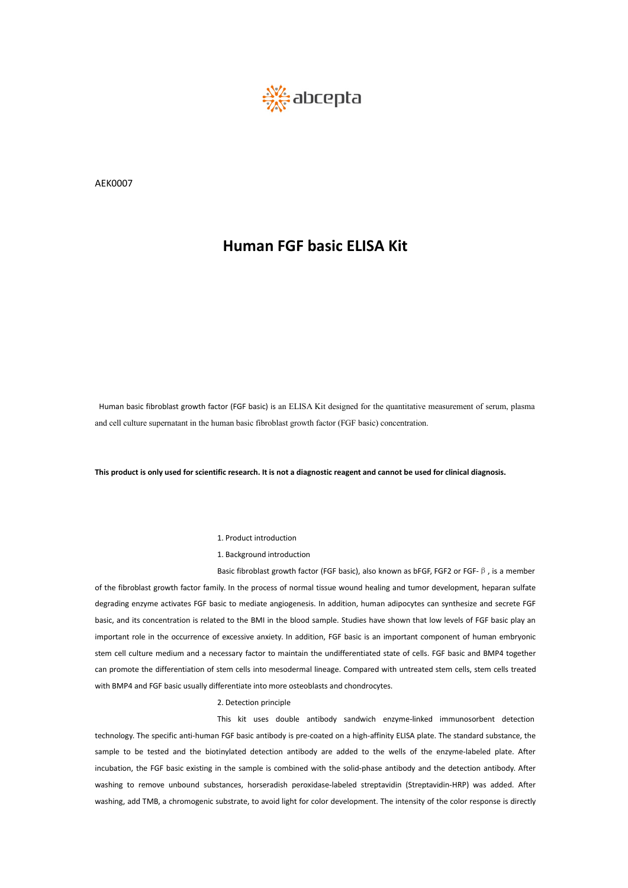

AEK0007

Human basic fibroblast growth factor (FGF basic) is an ELISA Kit designed for the quantitative measurement of serum, plasma Human basic fibroblast growth factor (FGF basic) is an ELISA Kit designed for the quantitative measurement of serum, and cell culture supernatant in the human basic fibroblast growth factor (FGF basic) concentration. Human basic fibroblast growth factor (FGF basic) is an ELISA Kit designed for the quantitative measurement of serum, plasma and cell culture supernatant in the human basic fibroblast growth factor (FGF basic) concentration Example Internal and the University of the Simon basic fibroblast growth factor (FGF basic)<br>
internal control of the search. It is not a diagnostic reagent and controduction<br>
1. Product introduction<br>
Basic fibroblast growt

Fic research. It is not a diagnostic reagent and cann<br>1. Product introduction<br>1. Background introduction<br>Basic fibroblast growth factor (FGF basic), also knov<br>ily. In the process of normal tissue wound healing ffic research. It is not a diagnostic reagent and cannot be used for clinical diagnosis.<br>1. Product introduction<br>1. Background introduction<br>Basic fibroblast growth factor (FGF basic), also known as bFGF, FGF2 or FGF-β, is This product is only used for scientific research. It is not a diagnostic reagent and cannot be used for clinical diagnosis.<br>
1. Product introduction<br>
1. Background introduction<br>
Basic fibroblast growth factor family. In t 1. Product introduction<br>
1. Background introduction<br>
Basic fibroblast growth factor (FGF basic), also known as bFGF, FGF2 or FGF- $\beta$ , is a member<br>
degrading enzyme activates FGF basic to mediate angiogenesis. In addition 1. Product introduction<br>
1. Background introduction<br>
Basic fibroblast growth factor (FGF basic), also known as bFGF, FGF2 or FGF-  $\beta$ , is a member<br>
of the fibroblast growth factor family. In the process of normal tissue w 1. Product introduction<br>
1. Background introduction<br>
Basic fibroblast growth factor (FGF basic), also known as bFGF, FGF2 or FGF- $\beta$ , is a member<br>
of the fibroblast growth factor family. In the process of normal tissue w 1. Product introduction<br>
1. Background introduction<br>
Basic fibroblast growth factor (FGF basic), also known as bFGF, FGF2 or FGF- $\beta$ , is a member<br>
degrading enzyme activates FGF basic to mediate angiogenesis. In addition 1. Background introduction<br>Basic fibroblast growth factor family. In the process of normal tissue wound healing and tumor development, heparan sulfate<br>degrading enzyme activates FGF basic to mediate angiogenesis. In additi Basic fibroblast growth factor (FGF basic), also known as bFGF,<br>of the fibroblast growth factor family. In the process of normal tissue wound healing and tumor degrading enzyme activates FGF basic to mediate angiogenesis. ily. In the process of normal tissue wound he<br>sic to mediate angiogenesis. In addition, hue<br>d to the BMI in the blood sample. Studies I<br>f excessive anxiety. In addition, FGF basic is<br>cessary factor to maintain the undiffer sic to mediate angiogenesis. In addition, human adipocytes can synthesize and secrete FGF<br>ed to the BMI in the blood sample. Studies have shown that low levels of FGF basic play an<br>f excessive anxiety. In addition, FGF bas basic, and its concentration is related to the BMI in the blood sample. Studies have shown that low levels of FGF basic play an<br>important role in the occurrence of excessive anxiety. In addition, FGF basic is an important

important role in the occurrence of excessive anxiety. In addition, FGF basic is an important component of human embryonic<br>stem cell culture medium and a necessary factor to maintain the undifferentiated state of cells. FG stem cell culture medium and a necessary factor to maintain the undifferentiated state of cells. FGF basic and BMP4 together<br>can promote the differentiation of stem cells into mesodermal lineage. Compared with untreated st can promote the differentiation of stem cells into mesodermal lineage. Compared with untreated stem cells, stem cells treated<br>with BMP4 and FGF basic usually differentiate into more osteoblasts and chondrocytes.<br>2. Detecti with BMP4 and FGF basic usually differentiate into more osteoblasts and chondrocytes.<br>
2. Detection principle<br>
This kit uses double antibody sandwich enzyme-linked immunosorbent detection<br>
technology. The specific anti-hum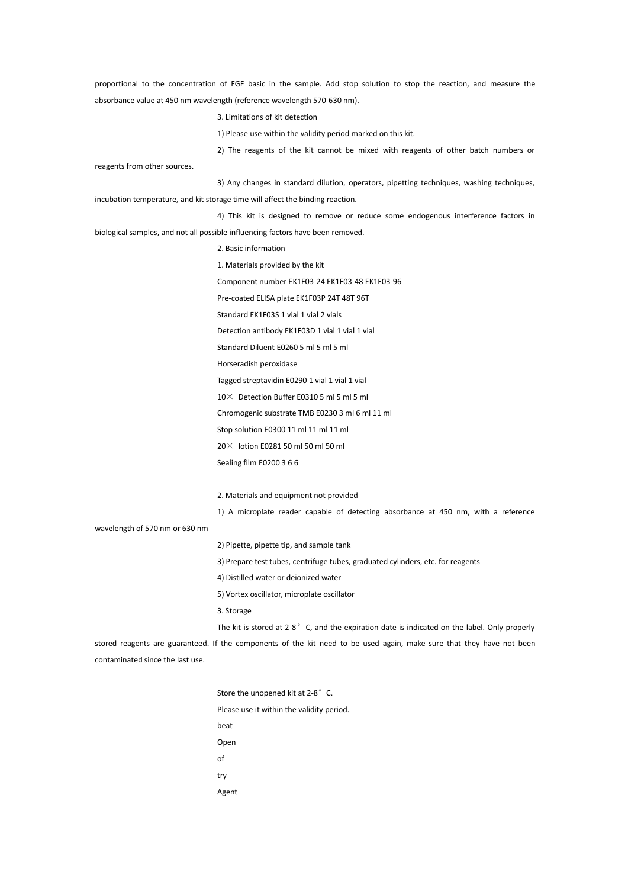proportional to the concentration of FGF basic in the sample. Add stop solution to stop the reaction, and measure the absorbance value at 450 nm wavelength (reference wavelength 570-630 nm).

3. Limitations of kit detection

1) Please use within the validity period marked on this kit.

2) The reagents of the kit cannot be mixed with reagents of other batch numbers or

reagents from other sources.

3) Any changes in standard dilution, operators, pipetting techniques, washing techniques, incubation temperature, and kit storage time will affect the binding reaction.

4) This kit is designed to remove or reduce some endogenous interference factors in biological samples, and not all possible influencing factors have been removed.

- 2. Basic information
- 1. Materials provided by the kit Component number EK1F03-24 EK1F03-48 EK1F03-96
- Pre-coated ELISA plate EK1F03P 24T 48T 96T
- Standard EK1F03S 1 vial 1 vial 2 vials
- Detection antibody EK1F03D 1 vial 1 vial 1 vial
- Standard Diluent E0260 5 ml 5 ml 5 ml
- Horseradish peroxidase
- Tagged streptavidin E0290 1 vial 1 vial 1 vial
- 10× Detection Buffer E0310 5 ml 5 ml 5 ml
- Chromogenic substrate TMB E0230 3 ml 6 ml 11 ml
- Stop solution E0300 11 ml 11 ml 11 ml
- 20 $\times$  lotion E0281 50 ml 50 ml 50 ml
- Sealing film E0200 3 6 6

2. Materials and equipment not provided

1) A microplate reader capable of detecting absorbance at 450 nm, with a reference

wavelength of 570 nm or 630 nm

2) Pipette, pipette tip, and sample tank

- 3) Prepare test tubes, centrifuge tubes, graduated cylinders, etc. for reagents
- 4) Distilled water or deionized water
- 5) Vortex oscillator, microplate oscillator
- 3. Storage
- The kit is stored at  $2-8$ °C, and the expiration date is indicated on the label. Only properly

stored reagents are guaranteed. If the components of the kit need to be used again, make sure that they have not been contaminated since the last use.

> Store the unopened kit at 2-8°C. Please use it within the validity period. beat Open of try Agent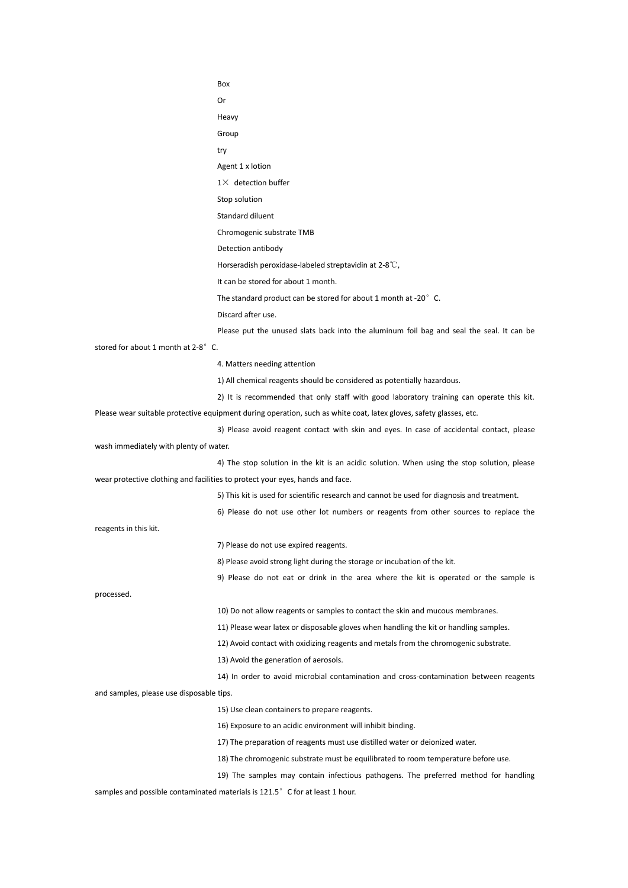Box Or Heavy Group try Agent 1 x lotion  $1\times$  detection buffer Stop solution Standard diluent Chromogenic substrate TMB Detection antibody Horseradish peroxidase-labeled streptavidin at 2-8℃, It can be stored for about 1 month. The standard product can be stored for about 1 month at -20° C. Discard after use.<br>Please put the unused slats back into the aluminum foil bag and seal the seal. It can be stored for about 1 month at 2-8 $^{\circ}$  C.<br>4. Matters needing attention 1) All chemical reagents should be considered as potentially hazardous. 2) It is recommended that only staff with good laboratory training can operate this kit. Please wear suitable protective equipment during operation, such as white coat, latex gloves, safety glasses, etc. 3) Please avoid reagent contact with skin and eyes. In case of accidental contact, please wash immediately with plenty of water. 4) The stop solution in the kit is an acidic solution. When using the stop solution, please wear protective clothing and facilities to protect your eyes, hands and face. 5) This kit is used for scientific research and cannot be used for diagnosis and treatment. 6) Please do not use other lot numbers or reagents from other sources to replace the reagents in this kit. 7) Please do not use expired reagents. 8) Please avoid strong light during the storage or incubation of the kit. 9) Please do not eat or drink in the area where the kit is operated or the sample is processed. 10) Do not allow reagents or samples to contact the skin and mucous membranes. 11) Please wear latex or disposable gloves when handling the kit or handling samples. 12) Avoid contact with oxidizing reagents and metals from the chromogenic substrate. 13) Avoid the generation of aerosols. 14) In order to avoid microbial contamination and cross-contamination between reagents and samples, please use disposable tips. 15) Use clean containers to prepare reagents. 16) Exposure to an acidic environment will inhibit binding. 17) The preparation of reagents must use distilled water or deionized water. 18) The chromogenic substrate must be equilibrated to room temperature before use. 19) The samples may contain infectious pathogens. The preferred method for handling

samples and possible contaminated materials is 121.5° C for at least 1 hour.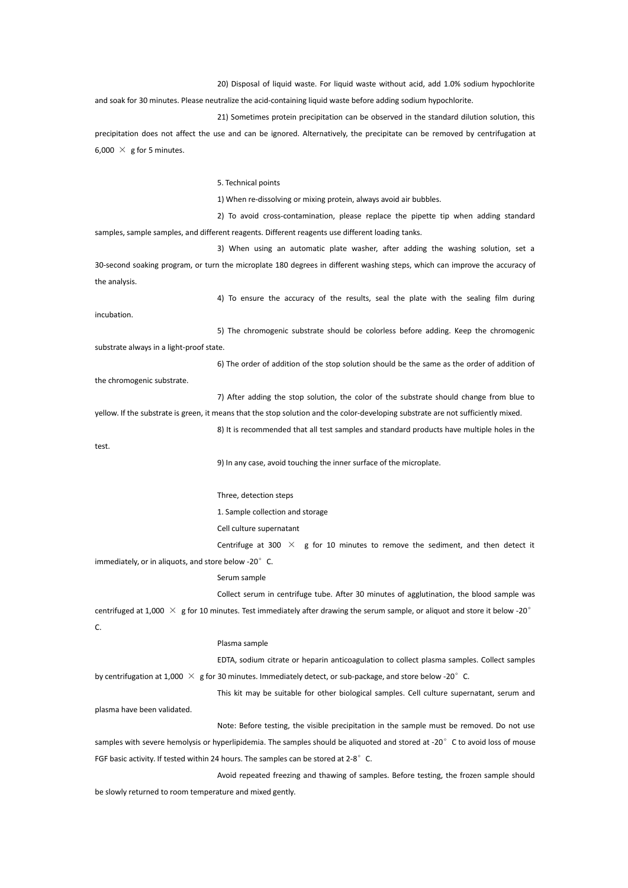20) Disposal of liquid waste. For liquid waste without acid, add 1.0% sodium hypochlorite

and soak for 30 minutes. Please neutralize the acid-containing liquid waste before adding sodium hypochlorite.

21) Sometimes protein precipitation can be observed in the standard dilution solution, this precipitation does not affect the use and can be ignored. Alternatively, the precipitate can be removed by centrifugation at 6,000  $\times$  g for 5 minutes.

5. Technical points

1) When re-dissolving or mixing protein, always avoid air bubbles.

2) To avoid cross-contamination, please replace the pipette tip when adding standard samples, sample samples, and different reagents. Different reagents use different loading tanks.

3) When using an automatic plate washer, after adding the washing solution, set a 30-second soaking program, or turn the microplate 180 degrees in different washing steps, which can improve the accuracy of the analysis.

4) To ensure the accuracy of the results, seal the plate with the sealing film during incubation.

5) The chromogenic substrate should be colorless before adding. Keep the chromogenic substrate always in a light-proof state.

6) The order of addition of the stop solution should be the same as the order of addition of the chromogenic substrate.

7) After adding the stop solution, the color of the substrate should change from blue to yellow. If the substrate is green, it means that the stop solution and the color-developing substrate are not sufficiently mixed.

8) It is recommended that all test samples and standard products have multiple holes in the

test.

9) In any case, avoid touching the inner surface of the microplate.

Three, detection steps

1. Sample collection and storage

Cell culture supernatant

Centrifuge at 300  $\times$  g for 10 minutes to remove the sediment, and then detect it

immediately, or in aliquots, and store below -20° C.

# Serum sample

Collect serum in centrifuge tube. After 30 minutes of agglutination, the blood sample was

centrifuged at 1,000  $\times$  g for 10 minutes. Test immediately after drawing the serum sample, or aliquot and store it below -20° C.

### Plasma sample

EDTA, sodium citrate or heparin anticoagulation to collect plasma samples. Collect samples by centrifugation at 1,000  $\times$  g for 30 minutes. Immediately detect, or sub-package, and store below -20 $^{\circ}$  C.

This kit may be suitable for other biological samples. Cell culture supernatant, serum and

plasma have been validated.

Note: Before testing, the visible precipitation in the sample must be removed. Do not use samples with severe hemolysis or hyperlipidemia. The samples should be aliquoted and stored at -20° C to avoid loss of mouse FGF basic activity. If tested within 24 hours. The samples can be stored at 2-8°C.

Avoid repeated freezing and thawing of samples. Before testing, the frozen sample should be slowly returned to room temperature and mixed gently.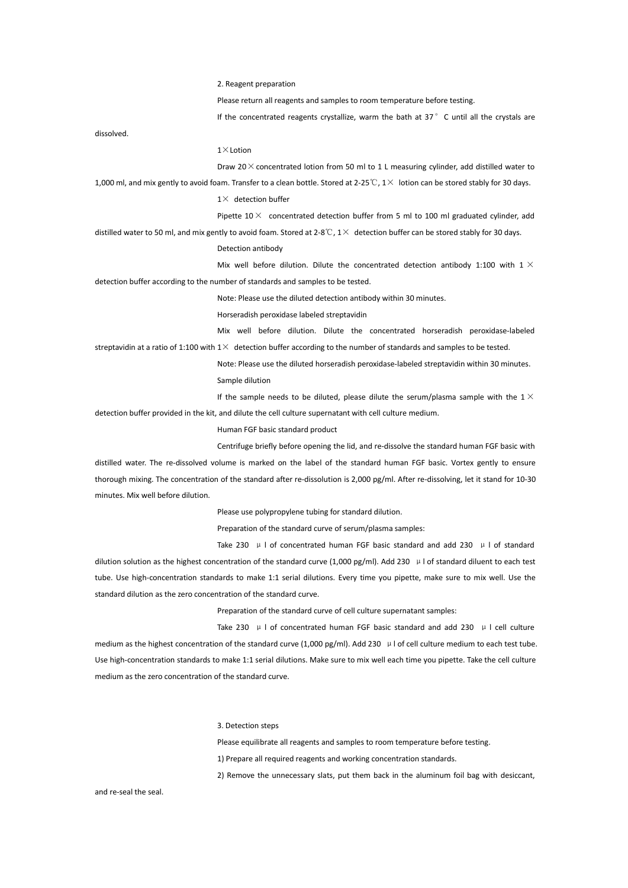2. Reagent preparation

Please return all reagents and samples to room temperature before testing.

If the concentrated reagents crystallize, warm the bath at  $37°C$  until all the crystals are

dissolved.

### $1 \times$ Lotion

Draw 20 $\times$  concentrated lotion from 50 ml to 1 L measuring cylinder, add distilled water to

1,000 ml, and mix gently to avoid foam. Transfer to a clean bottle. Stored at 2-25℃, 1× lotion can be stored stably for 30 days.

 $1\times$  detection buffer

Pipette  $10 \times$  concentrated detection buffer from 5 ml to 100 ml graduated cylinder, add distilled water to 50 ml, and mix gently to avoid foam. Stored at 2-8℃,  $1\times$  detection buffer can be stored stably for 30 days.

Detection antibody

Mix well before dilution. Dilute the concentrated detection antibody 1:100 with 1  $\times$ detection buffer according to the number of standards and samples to be tested.

Note: Please use the diluted detection antibody within 30 minutes.

Horseradish peroxidase labeled streptavidin

Mix well before dilution. Dilute the concentrated horseradish peroxidase-labeled

streptavidin at a ratio of 1:100 with  $1 \times$  detection buffer according to the number of standards and samples to be tested. Note: Please use the diluted horseradish peroxidase-labeled streptavidin within 30 minutes.

Sample dilution

If the sample needs to be diluted, please dilute the serum/plasma sample with the 1 $\times$ detection buffer provided in the kit, and dilute the cell culture supernatant with cell culture medium.

Human FGF basic standard product

Centrifuge briefly before opening the lid, and re-dissolve the standard human FGF basic with distilled water. The re-dissolved volume is marked on the label of the standard human FGF basic. Vortex gently to ensure thorough mixing. The concentration of the standard after re-dissolution is 2,000 pg/ml. After re-dissolving, let it stand for 10-30 minutes. Mix well before dilution.

Please use polypropylene tubing for standard dilution.

Preparation of the standard curve of serum/plasma samples:

Take 230  $\mu$  l of concentrated human FGF basic standard and add 230  $\mu$  l of standard dilution solution as the highest concentration of the standard curve (1,000 pg/ml). Add 230  $\mu$  l of standard diluent to each test tube. Use high-concentration standards to make 1:1 serial dilutions. Every time you pipette, make sure to mix well. Use the standard dilution as the zero concentration of the standard curve.

Preparation of the standard curve of cell culture supernatant samples:

Take 230  $\mu$  l of concentrated human FGF basic standard and add 230  $\mu$  l cell culture

medium as the highest concentration of the standard curve (1,000 pg/ml). Add 230  $\mu$  l of cell culture medium to each test tube. Use high-concentration standards to make 1:1 serial dilutions. Make sure to mix well each time you pipette. Take the cell culture medium as the zero concentration of the standard curve.

3. Detection steps

Please equilibrate all reagents and samples to room temperature before testing.

1) Prepare all required reagents and working concentration standards.

2) Remove the unnecessary slats, put them back in the aluminum foil bag with desiccant,

and re-seal the seal.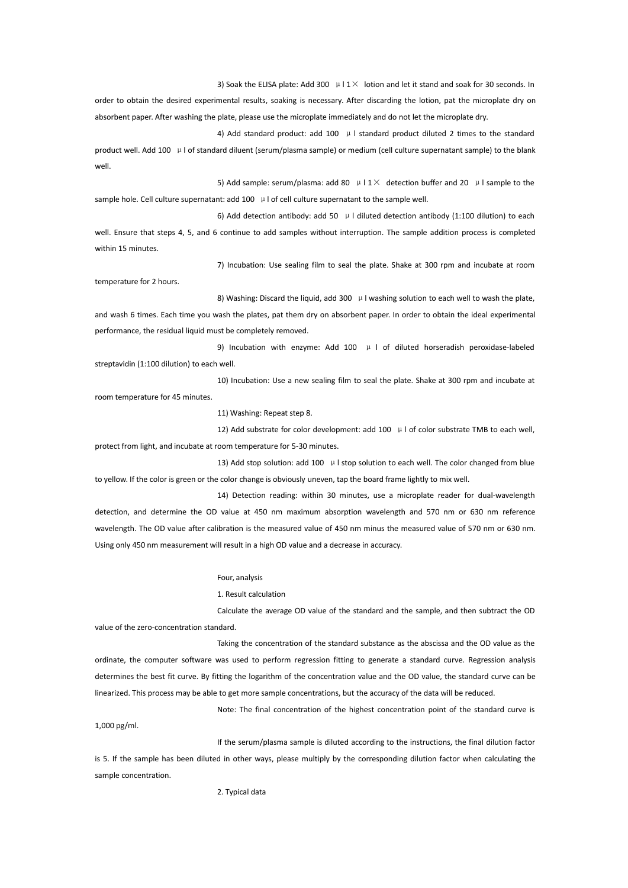3) Soak the ELISA plate: Add 300  $\mu$  | 1 $\times$  lotion and let it stand and soak for 30 seconds. In

order to obtain the desired experimental results, soaking is necessary. After discarding the lotion, pat the microplate dry on absorbent paper. After washing the plate, please use the microplate immediately and do not let the microplate dry.

4) Add standard product: add 100  $\mu$  I standard product diluted 2 times to the standard product well. Add 100 μl of standard diluent (serum/plasma sample) or medium (cell culture supernatant sample) to the blank well.

5) Add sample: serum/plasma: add 80  $\mu$  I 1  $\times$  detection buffer and 20  $\mu$  I sample to the sample hole. Cell culture supernatant: add 100 µ l of cell culture supernatant to the sample well.

6) Add detection antibody: add 50  $\mu$  I diluted detection antibody (1:100 dilution) to each well. Ensure that steps 4, 5, and 6 continue to add samples without interruption. The sample addition process is completed within 15 minutes.

7) Incubation: Use sealing film to seal the plate. Shake at 300 rpm and incubate at room

temperature for 2 hours.

8) Washing: Discard the liquid, add 300 µ I washing solution to each well to wash the plate, and wash 6 times. Each time you wash the plates, pat them dry on absorbent paper. In order to obtain the ideal experimental performance, the residual liquid must be completely removed.

9) Incubation with enzyme: Add 100  $\mu$  I of diluted horseradish peroxidase-labeled streptavidin (1:100 dilution) to each well.

10) Incubation: Use a new sealing film to seal the plate. Shake at 300 rpm and incubate at room temperature for 45 minutes.

11) Washing: Repeat step 8.

12) Add substrate for color development: add 100  $\mu$  l of color substrate TMB to each well, protect from light, and incubate at room temperature for 5-30 minutes.

13) Add stop solution: add 100  $\mu$  I stop solution to each well. The color changed from blue to yellow. If the color is green or the color change is obviously uneven, tap the board frame lightly to mixwell.

14) Detection reading: within 30 minutes, use a microplate reader for dual-wavelength detection, and determine the OD value at 450 nm maximum absorption wavelength and 570 nm or 630 nm reference wavelength. The OD value after calibration is the measured value of 450 nm minus the measured value of 570 nm or 630 nm. Using only 450 nm measurement will result in a high OD value and a decrease in accuracy.

#### Four, analysis

1. Result calculation

Calculate the average OD value of the standard and the sample, and then subtract the OD value of the zero-concentration standard.

Taking the concentration of the standard substance as the abscissa and the OD value as the ordinate, the computer software was used to perform regression fitting to generate a standard curve. Regression analysis determines the best fit curve. By fitting the logarithm of the concentration value and the OD value, the standard curve can be linearized. This process may be able to get more sample concentrations, but the accuracy of the data will be reduced.

Note: The final concentration of the highest concentration point of the standard curve is 1,000 pg/ml.

If the serum/plasma sample is diluted according to the instructions, the final dilution factor is 5. If the sample has been diluted in other ways, please multiply by the corresponding dilution factor when calculating the sample concentration.

2. Typical data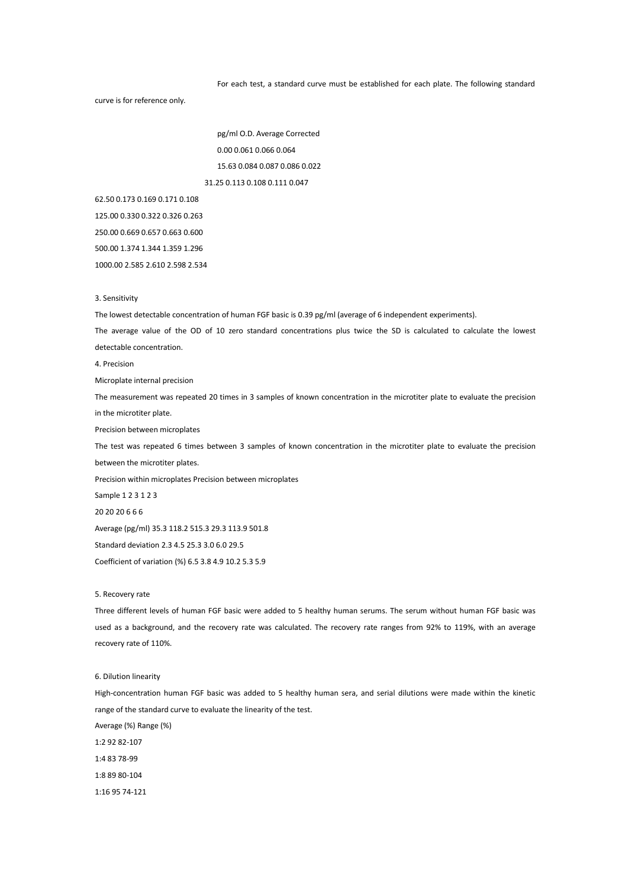For each test, a standard curve must be established for each plate. The following standard

curve is for reference only.

pg/ml O.D. Average Corrected 0.00 0.061 0.066 0.064 15.63 0.084 0.087 0.086 0.022 31.25 0.113 0.108 0.111 0.047

62.50 0.173 0.169 0.171 0.108

125.00 0.330 0.322 0.326 0.263

250.00 0.669 0.657 0.663 0.600

500.00 1.374 1.344 1.359 1.296

1000.00 2.585 2.610 2.598 2.534

### 3. Sensitivity

The lowest detectable concentration of human FGF basic is 0.39 pg/ml (average of 6 independent experiments).

The average value of the OD of 10 zero standard concentrations plus twice the SD is calculated to calculate the lowest detectable concentration.

4. Precision

Microplate internal precision

The measurement was repeated 20 times in 3 samples of known concentration in the microtiter plate to evaluate the precision in the microtiter plate.

Precision between microplates

The test was repeated 6 times between 3 samples of known concentration in the microtiter plate to evaluate the precision between the microtiter plates.

Precision within microplates Precision between microplates

Sample 1 2 3 1 2 3

20 20 20 6 6 6

Average (pg/ml) 35.3 118.2 515.3 29.3 113.9 501.8

Standard deviation 2.3 4.5 25.3 3.0 6.0 29.5

Coefficient of variation (%) 6.5 3.8 4.9 10.2 5.3 5.9

#### 5. Recovery rate

Three different levels of human FGF basic were added to 5 healthy human serums. The serum without human FGF basic was used as a background, and the recovery rate was calculated. The recovery rate ranges from 92% to 119%, with an average recovery rate of 110%.

# 6. Dilution linearity

High-concentration human FGF basic was added to 5 healthy human sera, and serial dilutions were made within the kinetic range of the standard curve to evaluate the linearity of the test. Average (%) Range (%) 1:2 92 82-107 1:4 83 78-99 1:8 89 80-104

1:16 95 74-121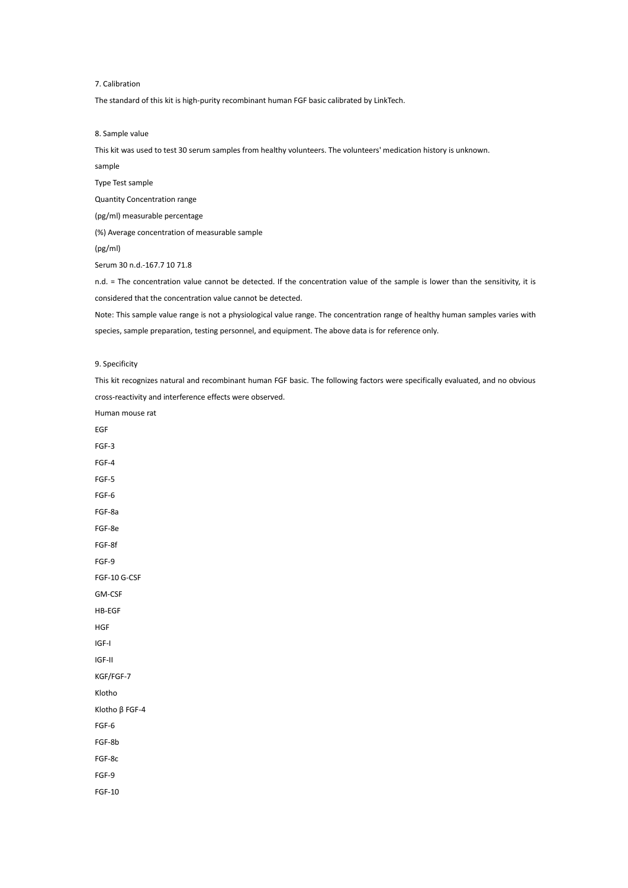# 7. Calibration

The standard of this kit is high-purity recombinant human FGF basic calibrated by LinkTech.

8. Sample value

This kit was used to test 30 serum samples from healthy volunteers. The volunteers' medication history is unknown.

sample

Type Test sample

Quantity Concentration range

(pg/ml) measurable percentage

(%) Average concentration of measurable sample

(pg/ml)

Serum 30 n.d.-167.7 10 71.8

n.d. = The concentration value cannot be detected. If the concentration value of the sample is lower than the sensitivity, it is considered that the concentration value cannot be detected.

Note: This sample value range is not a physiological value range. The concentration range of healthy human samples varies with species, sample preparation, testing personnel, and equipment. The above data is for reference only.

# 9. Specificity

This kit recognizes natural and recombinant human FGF basic. The following factors were specifically evaluated, and no obvious cross-reactivity and interference effects were observed.

Human mouse rat EGF FGF-3 FGF-4 FGF-5 FGF-6 FGF-8a FGF-8e FGF-8f FGF-9 FGF-10 G-CSF GM-CSF HB-EGF HGF IGF-I IGF-II KGF/FGF-7 Klotho Klotho β FGF-4 FGF-6 FGF-8b FGF-8c FGF-9 FGF-10